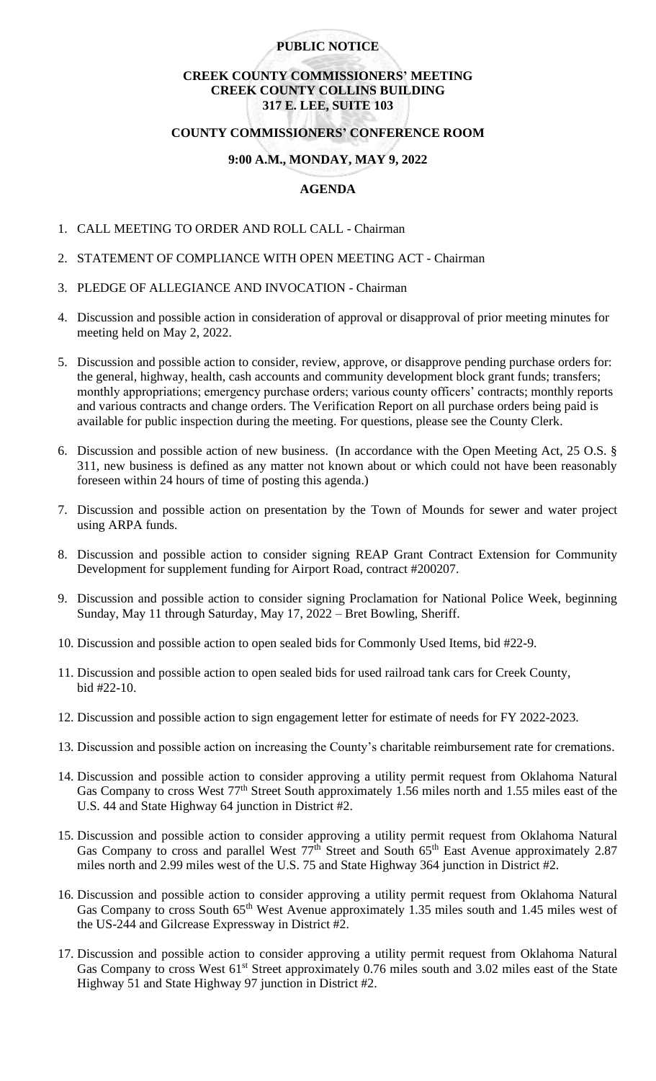## **PUBLIC NOTICE**

# **CREEK COUNTY COMMISSIONERS' MEETING CREEK COUNTY COLLINS BUILDING 317 E. LEE, SUITE 103**

#### **COUNTY COMMISSIONERS' CONFERENCE ROOM**

### **9:00 A.M., MONDAY, MAY 9, 2022**

# **AGENDA**

- 1. CALL MEETING TO ORDER AND ROLL CALL Chairman
- 2. STATEMENT OF COMPLIANCE WITH OPEN MEETING ACT Chairman
- 3. PLEDGE OF ALLEGIANCE AND INVOCATION Chairman
- 4. Discussion and possible action in consideration of approval or disapproval of prior meeting minutes for meeting held on May 2, 2022.
- 5. Discussion and possible action to consider, review, approve, or disapprove pending purchase orders for: the general, highway, health, cash accounts and community development block grant funds; transfers; monthly appropriations; emergency purchase orders; various county officers' contracts; monthly reports and various contracts and change orders. The Verification Report on all purchase orders being paid is available for public inspection during the meeting. For questions, please see the County Clerk.
- 6. Discussion and possible action of new business. (In accordance with the Open Meeting Act, 25 O.S. § 311, new business is defined as any matter not known about or which could not have been reasonably foreseen within 24 hours of time of posting this agenda.)
- 7. Discussion and possible action on presentation by the Town of Mounds for sewer and water project using ARPA funds.
- 8. Discussion and possible action to consider signing REAP Grant Contract Extension for Community Development for supplement funding for Airport Road, contract #200207.
- 9. Discussion and possible action to consider signing Proclamation for National Police Week, beginning Sunday, May 11 through Saturday, May 17, 2022 – Bret Bowling, Sheriff.
- 10. Discussion and possible action to open sealed bids for Commonly Used Items, bid #22-9.
- 11. Discussion and possible action to open sealed bids for used railroad tank cars for Creek County, bid #22-10.
- 12. Discussion and possible action to sign engagement letter for estimate of needs for FY 2022-2023.
- 13. Discussion and possible action on increasing the County's charitable reimbursement rate for cremations.
- 14. Discussion and possible action to consider approving a utility permit request from Oklahoma Natural Gas Company to cross West 77<sup>th</sup> Street South approximately 1.56 miles north and 1.55 miles east of the U.S. 44 and State Highway 64 junction in District #2.
- 15. Discussion and possible action to consider approving a utility permit request from Oklahoma Natural Gas Company to cross and parallel West 77<sup>th</sup> Street and South 65<sup>th</sup> East Avenue approximately 2.87 miles north and 2.99 miles west of the U.S. 75 and State Highway 364 junction in District #2.
- 16. Discussion and possible action to consider approving a utility permit request from Oklahoma Natural Gas Company to cross South 65<sup>th</sup> West Avenue approximately 1.35 miles south and 1.45 miles west of the US-244 and Gilcrease Expressway in District #2.
- 17. Discussion and possible action to consider approving a utility permit request from Oklahoma Natural Gas Company to cross West 61<sup>st</sup> Street approximately 0.76 miles south and 3.02 miles east of the State Highway 51 and State Highway 97 junction in District #2.